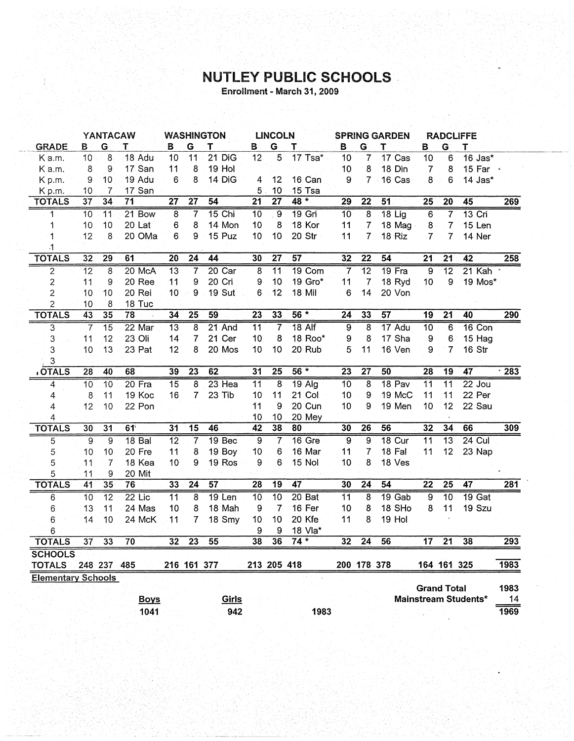## NUTLEY PUBLIC SCHOOLS

Enrollment - March 31, 2009

|                           |                 | YANTACAW        |                       |                 |                         | <b>WASHINGTON</b> |                 | <b>LINCOLN</b>   |                   |                 |                 | <b>SPRING GARDEN</b> |                    |                 | <b>RADCLIFFE</b>            |                  |
|---------------------------|-----------------|-----------------|-----------------------|-----------------|-------------------------|-------------------|-----------------|------------------|-------------------|-----------------|-----------------|----------------------|--------------------|-----------------|-----------------------------|------------------|
| <b>GRADE</b>              | в               | G               | T                     | в               | G                       | Т                 | В               | G                | т                 | в               | G               | Т                    | B                  | G               | т                           |                  |
| K a.m.                    | 10 <sup>°</sup> | 8               | 18 Adu                | 10              | 11                      | 21 DiG            | 12              | 5                | 17 Tsa*           | 10              | 7               | 17 Cas               | 10                 | 6               | 16 Jas*                     |                  |
| K a.m.                    | 8               | 9               | 17 San                | 11              | 8                       | 19 Hol            |                 |                  |                   | 10              | 8               | 18 Din               | $\overline{7}$     | 8               | 15 Far ·                    |                  |
| Kp.m.                     | 9               | 10              | 19 Adu                | 6               | 8                       | 14 DiG            | $\overline{4}$  | 12               | 16 Can            | 9               |                 | 7 16 Cas             | 8                  | 6               | $14$ Jas $*$                |                  |
| Kp.m.                     | 10              | 7               | 17 San                |                 |                         |                   | 5               | 10               | 15 Tsa            |                 |                 |                      |                    |                 |                             |                  |
| <b>TOTALS</b>             | $\overline{37}$ | $\overline{34}$ | 71                    | 27              | $\overline{27}$         | $\overline{54}$   | $\overline{21}$ | $\overline{27}$  | $48 *$            | 29              | $\overline{22}$ | $\overline{51}$      | 25                 | 20              | 45                          | 269              |
| 1                         | 10              | $\overline{11}$ | 21 Bow                | $\overline{8}$  | 7                       | $15$ Chi          | $\overline{10}$ | $\overline{9}$   | 19 Gri            | 10              | $\overline{8}$  | $18$ Lig             | $6\overline{6}$    | 7               | $13$ Cri                    |                  |
| 1                         | 10              | 10              | 20 Lat                | 6               | 8                       | 14 Mon            | 10              | 8                | 18 Kor            | 11              | $\overline{7}$  | 18 Mag               | 8                  | $\overline{7}$  | 15 Len                      |                  |
| 1                         | 12              | 8               | 20 OMa                | 6               | 9                       | 15 Puz            | 10              | 10               | 20 Str            | 11              | 7               | 18 Riz               | 7                  | 7               | 14 Ner                      |                  |
| .1                        |                 |                 |                       |                 |                         |                   |                 |                  |                   |                 |                 |                      |                    |                 |                             |                  |
| <b>TOTALS</b>             | 32              | 29              | 61                    | 20              | 24                      | 44                | 30              | $\overline{27}$  | $\overline{57}$   | 32              | 22              | 54                   | 21                 | $\overline{21}$ | 42                          | 258              |
| $\overline{2}$            | $\overline{12}$ | $\overline{8}$  | 20 McA                | $\overline{13}$ | $\overline{7}$          | $20$ Car          | $\overline{8}$  | $\overline{11}$  | 19 Com            | $\overline{7}$  | $\overline{12}$ | $19$ Fra             | $\overline{9}$     | $\overline{12}$ | 21 Kah                      |                  |
| $\overline{\mathbf{c}}$   | 11              | 9               | 20 Ree                | 11              | 9                       | 20 Cri            | 9               | 10               | 19 Gro*           | 11              | $\overline{7}$  | 18 Ryd               | 10                 | 9               | 19 Mos*                     |                  |
| $\overline{c}$            | 10              | 10              | 20 Rei                | 10              | 9                       | <b>19 Sut</b>     | 6               | 12               | 18 Mil            | 6               | 14              | 20 Von               |                    |                 |                             |                  |
| $\overline{c}$            | 10              | 8               | 18 Tuc                |                 |                         |                   |                 |                  |                   |                 |                 |                      |                    |                 |                             |                  |
| <b>TOTALS</b>             | 43              | $\overline{35}$ | $\overline{78}$<br>٠, | $\overline{34}$ | $\overline{25}$         | 59                | $\overline{23}$ | 33               | $56*$             | $\overline{24}$ | 33              | $\overline{57}$      | $\overline{19}$    | $\overline{21}$ | 40                          | 290              |
| 3                         | 7               | $\overline{15}$ | 22 Mar                | $\overline{13}$ | 8                       | 21 And            | $\overline{11}$ | 7                | $18$ Alf          | $\overline{9}$  | 8               | 17 Adu               | 10                 | 6               | $16$ Con                    |                  |
| 3                         | 11              | 12              | 23 Oli                | 14              | 7                       | 21 Cer            | 10              | 8                | 18 Roo*           | 9               | 8               | 17 Sha               | 9                  | 6               | 15 Hag                      |                  |
| 3                         | 10              | 13              | 23 Pat                | 12              | 8                       | 20 Mos            | 10              | 10               | 20 Rub            | 5               | 11              | 16 Ven               | 9                  | $\overline{7}$  | 16 Str                      |                  |
| 3                         |                 |                 |                       |                 |                         |                   |                 |                  |                   |                 |                 |                      |                    |                 |                             |                  |
| <b>OTALS</b>              | 28              | 40              | 68                    | 39              | 23                      | 62                | 31              | $\overline{25}$  | $56*$             | 23              | $\overline{27}$ | 50                   | $\overline{28}$    | 19              | 47                          | $\overline{283}$ |
| 4                         | $\overline{10}$ | $\overline{10}$ | $20$ Fra              | $\overline{15}$ | 8                       | $23$ Hea          | $\overline{11}$ | 8                | $19$ Alg          | 10              | 8               | 18 Pav               | $\overline{11}$    | $\overline{11}$ | $22$ Jou                    |                  |
| 4                         | 8               | 11              | 19 Koc                | 16              | $\overline{7}$          | 23 Tib            | 10              | 11               | 21 Col            | 10              | 9               | 19 McC               | 11                 | 11              | 22 Per                      |                  |
| 4                         | 12              | 10              | 22 Pon                |                 |                         |                   | 11              | 9                | <b>20 Cun</b>     | 10              | 9               | 19 Men               | 10                 | 12              | 22 Sau                      |                  |
| 4                         |                 |                 |                       |                 |                         |                   | 10              | 10               | 20 Mey            |                 |                 |                      |                    |                 |                             |                  |
| <b>TOTALS</b>             | 30              | $\overline{31}$ | 61                    | 31              | $\overline{15}$         | $\overline{46}$   | 42              | 38               | 80                | 30              | $\overline{26}$ | 56                   | 32                 | $\overline{34}$ | 66                          | 309              |
| $\overline{5}$            | 9               | 9               | 18 Bal                | $\overline{12}$ | 7                       | 19 <sub>Bec</sub> | 9               | 7                | 16 Gre            | $\overline{9}$  | $\overline{9}$  | $18$ Cur             | $\overline{11}$    | $\overline{13}$ | $24$ Cul                    |                  |
| 5                         | 10              | 10              | 20 Fre                | 11              | 8                       | 19 Boy            | 10              | 6                | 16 Mar            | 11              | 7               | 18 Fal               | 11                 | 12              | 23 Nap                      |                  |
| 5                         | 11              | $\overline{7}$  | 18 Kea                | 10              | 9                       | 19 Ros            | 9               | 6                | <b>15 Nol</b>     | 10              | 8               | 18 Ves               |                    |                 |                             |                  |
| 5                         | 11              | 9               | 20 Mit                |                 |                         |                   |                 |                  |                   |                 |                 |                      |                    |                 |                             |                  |
| <b>TOTALS</b>             | 41              | 35              | 76                    | 33              | 24                      | $\overline{57}$   | $\overline{28}$ | $\overline{19}$  | 47                | 30              | $\overline{24}$ | $\overline{54}$      | $\overline{22}$    | $\overline{25}$ | $\overline{47}$             | 281              |
| 6                         | $\overline{10}$ | $\overline{12}$ | $22$ Lic              | $\overline{11}$ | $\overline{\mathbf{8}}$ | $19$ Len          | $\overline{10}$ | $\overline{10}$  | 20 <sub>Bat</sub> | $\overline{11}$ | 8               | 19 Gab               | $\overline{9}$     | $\overline{10}$ | $19$ Gat                    |                  |
| 6                         | 13              | 11              | 24 Mas                | 10              | 8                       | 18 Mah            | 9               | 7                | 16 Fer            | 10              | 8               | 18 SHo               | 8                  | 11              | 19 Szu                      |                  |
| 6                         | 14              | 10              | 24 McK                | 11              | 7                       | 18 Smy            | 10              | 10               | 20 Kfe            | 11              | 8               | 19 Hol               |                    |                 |                             |                  |
| 6                         |                 |                 |                       |                 |                         |                   | 9               | $\boldsymbol{9}$ | 18 Vla*           |                 |                 |                      |                    |                 |                             |                  |
| <b>TOTALS</b>             | $\overline{37}$ | 33              | 70                    | 32              | $\overline{23}$         | $\overline{55}$   | 38              | 36               | $74*$             | 32              | $\overline{24}$ | 56                   | $\overline{17}$    | $\overline{21}$ | 38                          | 293              |
| <b>SCHOOLS</b>            |                 |                 |                       |                 |                         |                   |                 |                  |                   |                 |                 |                      |                    |                 |                             |                  |
| <b>TOTALS</b>             |                 | 248 237         | 485                   |                 |                         | 216 161 377       |                 | 213 205 418      |                   |                 | 200 178 378     |                      |                    | 164 161 325     |                             | 1983             |
| <b>Elementary Schools</b> |                 |                 |                       |                 |                         |                   |                 |                  |                   |                 |                 |                      |                    |                 |                             |                  |
|                           |                 |                 |                       |                 |                         |                   |                 |                  |                   |                 |                 |                      | <b>Grand Total</b> |                 |                             | 1983             |
|                           |                 |                 | <b>Boys</b>           |                 |                         | Girls             |                 |                  |                   |                 |                 |                      |                    |                 | <b>Mainstream Students*</b> | 14               |
|                           |                 |                 | 1041                  |                 |                         | 942               |                 |                  | 1983              |                 |                 |                      |                    |                 |                             | 1969             |